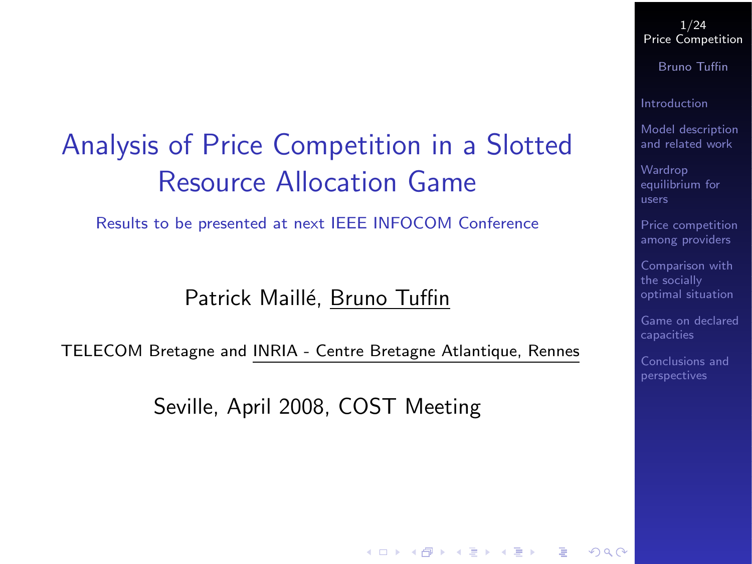## Analysis of Price Competition in a Slotted Resource Allocation Game

Results to be presented at next IEEE INFOCOM Conference

Patrick Maillé, Bruno Tuffin

<span id="page-0-0"></span>TELECOM Bretagne and INRIA - Centre Bretagne Atlantique, Rennes

Seville, April 2008, COST Meeting

1/24 [Price Competition](#page-23-0)

Bruno Tuffin

[Introduction](#page-3-0)

[Model description](#page-5-0) and related work

Wardrop [equilibrium for](#page-11-0)

[Price competition](#page-14-0) among providers

Comparison with the socially [optimal situation](#page-19-0)

[Game on declared](#page-20-0)

[Conclusions and](#page-22-0)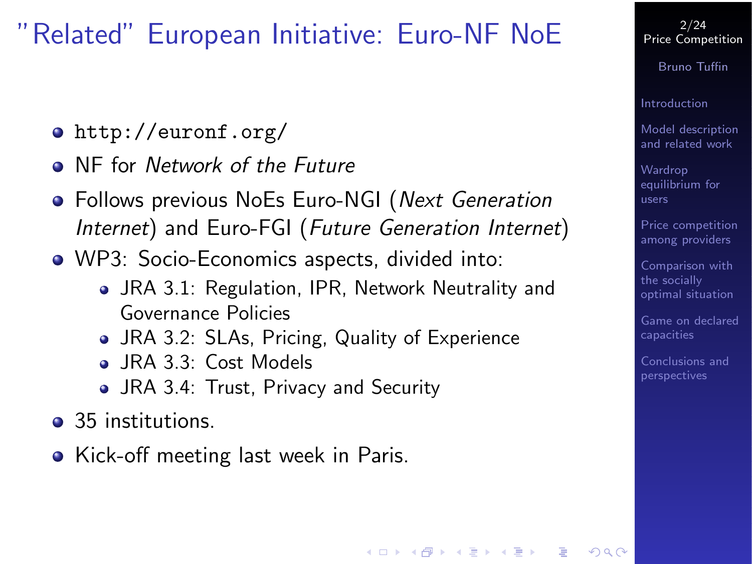## "Related" European Initiative: Euro-NF NoE

- <http://euronf.org/>
- **O** NF for Network of the Future
- Follows previous NoEs Euro-NGI (Next Generation Internet) and Euro-FGI (Future Generation Internet)
- WP3: Socio-Economics aspects, divided into:
	- JRA 3.1: Regulation, IPR, Network Neutrality and Governance Policies

- JRA 3.2: SLAs, Pricing, Quality of Experience
- JRA 3.3: Cost Models
- JRA 3.4: Trust, Privacy and Security
- 35 institutions.
- Kick-off meeting last week in Paris.

2/24 [Price Competition](#page-0-0)

Bruno Tuffin

[Introduction](#page-3-0)

[Model description](#page-5-0) and related work

Wardrop [equilibrium for](#page-11-0) users

[Price competition](#page-14-0) among providers

Comparison with the socially [optimal situation](#page-19-0)

[Game on declared](#page-20-0)

[Conclusions and](#page-22-0)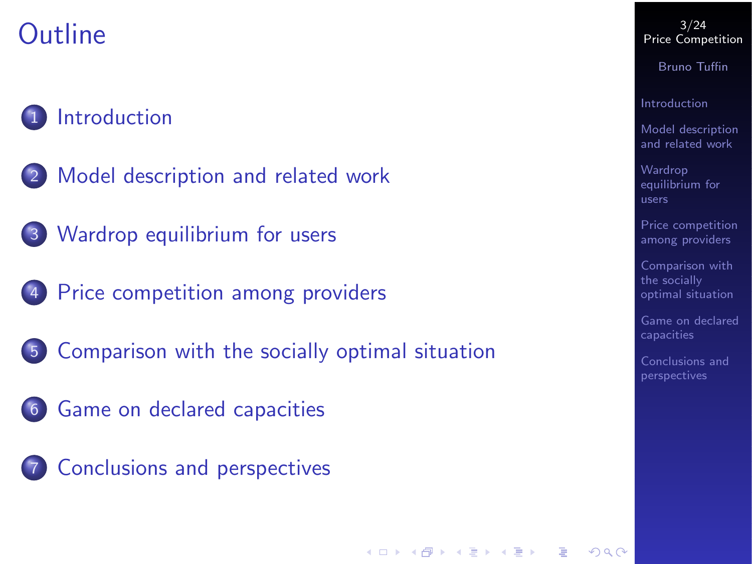# **Outline**

### **[Introduction](#page-3-0)**

- [Model description and related work](#page-5-0)
- 3 [Wardrop equilibrium for users](#page-11-0)
- 4 [Price competition among providers](#page-14-0)
- 5 [Comparison with the socially optimal situation](#page-19-0)

- 6 [Game on declared capacities](#page-20-0)
- 7 [Conclusions and perspectives](#page-22-0)

#### 3/24 [Price Competition](#page-0-0)

Bruno Tuffin

[Introduction](#page-3-0)

[Model description](#page-5-0) and related work

**Wardrop** [equilibrium for](#page-11-0)

[Price competition](#page-14-0) among providers

Comparison with the socially [optimal situation](#page-19-0)

[Game on declared](#page-20-0)

[Conclusions and](#page-22-0)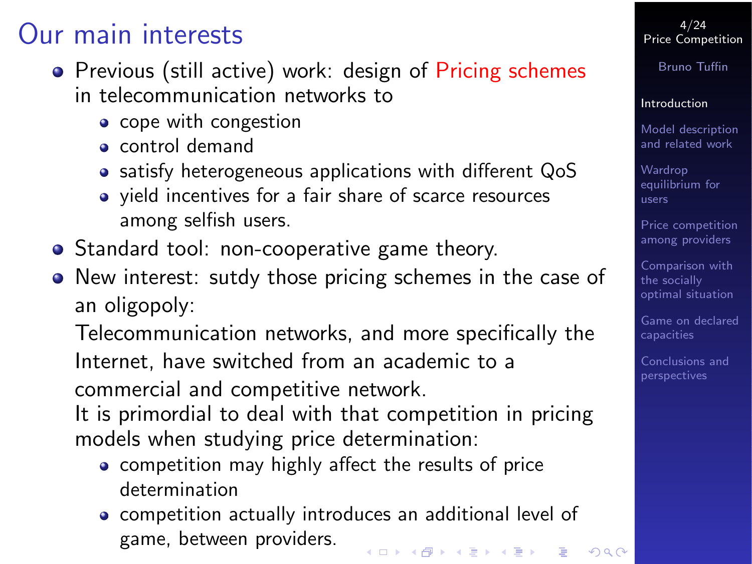### Our main interests

- Previous (still active) work: design of Pricing schemes in telecommunication networks to
	- cope with congestion
	- control demand
	- satisfy heterogeneous applications with different QoS
	- yield incentives for a fair share of scarce resources among selfish users.
- Standard tool: non-cooperative game theory.
- New interest: sutdy those pricing schemes in the case of an oligopoly:

Telecommunication networks, and more specifically the Internet, have switched from an academic to a commercial and competitive network.

It is primordial to deal with that competition in pricing models when studying price determination:

- competition may highly affect the results of price determination
- <span id="page-3-0"></span>competition actually introduces an additional level of game, between providers.

4/24 [Price Competition](#page-0-0)

Bruno Tuffin

#### [Introduction](#page-3-0)

[Model description](#page-5-0) and related work

Wardrop [equilibrium for](#page-11-0) users

[Price competition](#page-14-0) among providers

Comparison with the socially [optimal situation](#page-19-0)

[Game on declared](#page-20-0)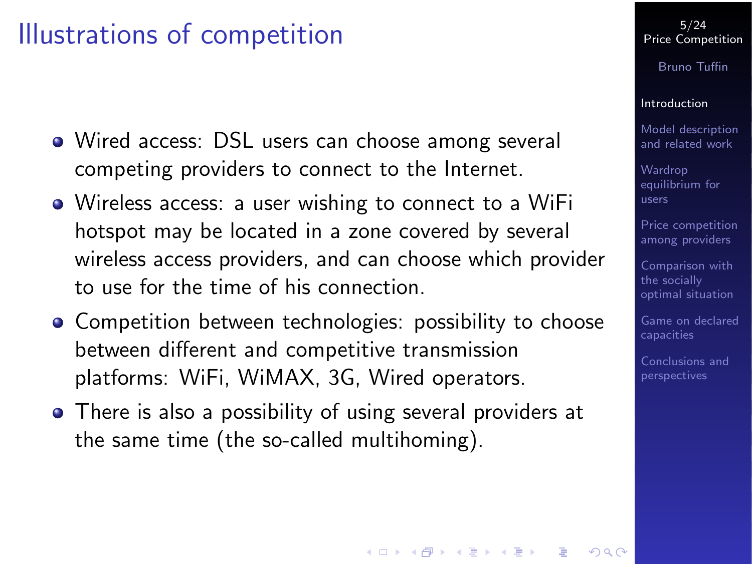### Illustrations of competition

- Wired access: DSL users can choose among several competing providers to connect to the Internet.
- Wireless access: a user wishing to connect to a WiFi hotspot may be located in a zone covered by several wireless access providers, and can choose which provider to use for the time of his connection.
- Competition between technologies: possibility to choose between different and competitive transmission platforms: WiFi, WiMAX, 3G, Wired operators.
- There is also a possibility of using several providers at the same time (the so-called multihoming).

#### 5/24 [Price Competition](#page-0-0)

Bruno Tuffin

#### [Introduction](#page-3-0)

[Model description](#page-5-0) and related work

Wardrop [equilibrium for](#page-11-0) users

[Price competition](#page-14-0) among providers

Comparison with the socially [optimal situation](#page-19-0)

[Game on declared](#page-20-0)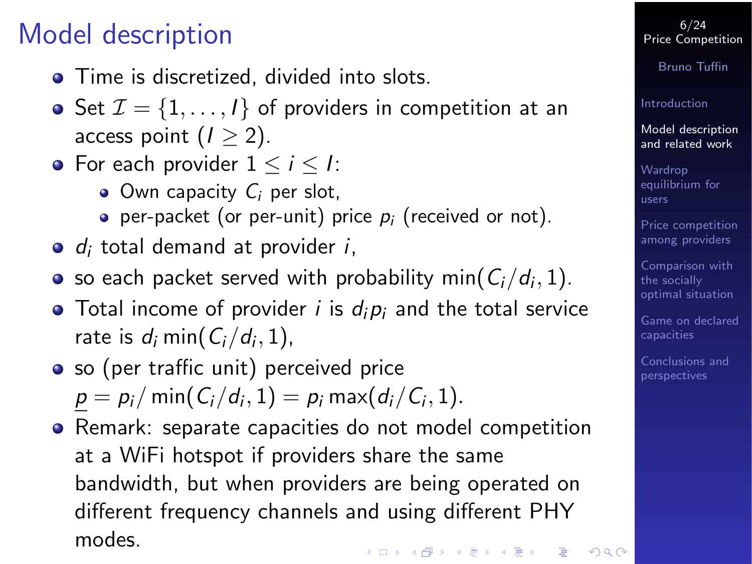# Model description

- **•** Time is discretized, divided into slots.
- Set  $\mathcal{I} = \{1, \ldots, l\}$  of providers in competition at an access point  $(1 > 2)$ .
- For each provider  $1 \le i \le l$ :
	- $\bullet$  Own capacity  $C_i$  per slot,
	- per-packet (or per-unit) price  $p_i$  (received or not).
- $\bullet$  d<sub>i</sub> total demand at provider *i*,
- so each packet served with probability min $(\mathcal{C}_i/d_i,1)$ .
- Total income of provider *i* is  $d_i p_i$  and the total service rate is  $d_i \min(C_i/d_i, 1)$ ,
- so (per traffic unit) perceived price  $p=p_i/\min(C_i/d_i,1)=p_i\max(d_i/C_i,1).$
- <span id="page-5-0"></span>Remark: separate capacities do not model competition at a WiFi hotspot if providers share the same bandwidth, but when providers are being operated on different frequency channels and using different PHY modes.

6/24 [Price Competition](#page-0-0)

Bruno Tuffin

[Introduction](#page-3-0)

[Model description](#page-5-0) and related work

Wardrop [equilibrium for](#page-11-0) users

[Price competition](#page-14-0) among providers

Comparison with the socially [optimal situation](#page-19-0)

[Game on declared](#page-20-0)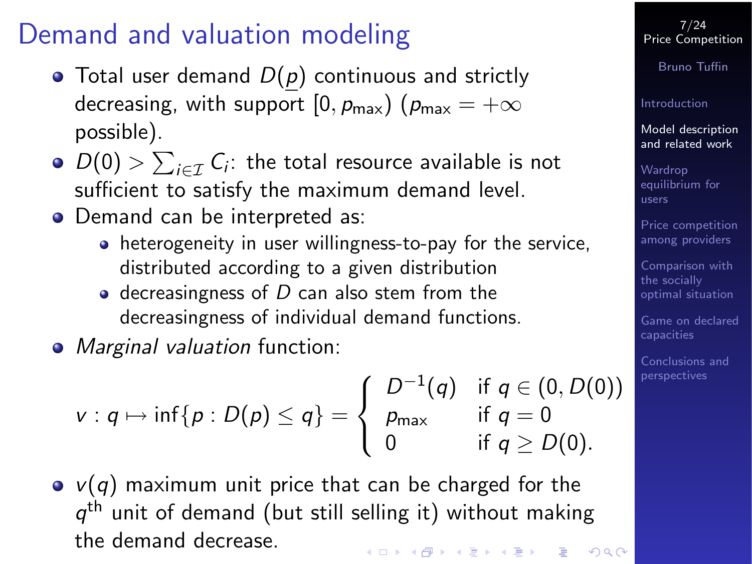# Demand and valuation modeling

- $\bullet$  Total user demand  $D(p)$  continuous and strictly decreasing, with support  $[0, p_{max})$  ( $p_{max} = +\infty$ possible).
- $D(0) > \sum_{i \in \mathcal{I}} C_i$ : the total resource available is not sufficient to satisfy the maximum demand level.
- Demand can be interpreted as:
	- heterogeneity in user willingness-to-pay for the service, distributed according to a given distribution
	- $\bullet$  decreasingness of D can also stem from the decreasingness of individual demand functions.
- Marginal valuation function:

$$
v: q \mapsto \inf\{p: D(p) \leq q\} = \begin{cases} D^{-1}(q) & \text{if } q \in (0, D(0)) \\ p_{\max} & \text{if } q = 0 \\ 0 & \text{if } q \geq D(0). \end{cases}
$$

 $\bullet$  v(q) maximum unit price that can be charged for the  $q^{\text{th}}$  unit of demand (but still selling it) without making the demand decrease.

7/24 [Price Competition](#page-0-0)

Bruno Tuffin

[Introduction](#page-3-0)

[Model description](#page-5-0) and related work

Wardrop [equilibrium for](#page-11-0) users

[Price competition](#page-14-0) among providers

Comparison with the socially [optimal situation](#page-19-0)

[Game on declared](#page-20-0)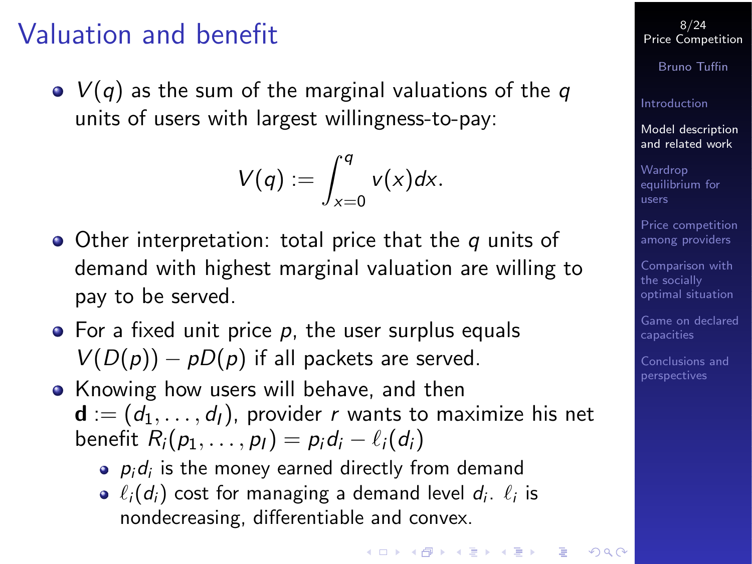## Valuation and benefit

 $\bullet$   $V(q)$  as the sum of the marginal valuations of the q units of users with largest willingness-to-pay:

$$
V(q):=\int_{x=0}^q v(x)dx.
$$

- $\bullet$  Other interpretation: total price that the q units of demand with highest marginal valuation are willing to pay to be served.
- $\bullet$  For a fixed unit price p, the user surplus equals  $V(D(p)) - pD(p)$  if all packets are served.
- Knowing how users will behave, and then  $\mathbf{d}$  :=  $(d_1, \ldots, d_l)$ , provider r wants to maximize his net benefit  $R_i(p_1, \ldots, p_l) = p_i d_i - \ell_i(d_i)$ 
	- $\rho_i$ d $_i$  is the money earned directly from demand
	- $\ell_i(d_i)$  cost for managing a demand level  $d_i$ .  $\ell_i$  is nondecreasing, differentiable and convex.

8/24 [Price Competition](#page-0-0)

Bruno Tuffin

[Introduction](#page-3-0)

[Model description](#page-5-0) and related work

Wardrop [equilibrium for](#page-11-0) users

[Price competition](#page-14-0) among providers

Comparison with the socially [optimal situation](#page-19-0)

[Game on declared](#page-20-0)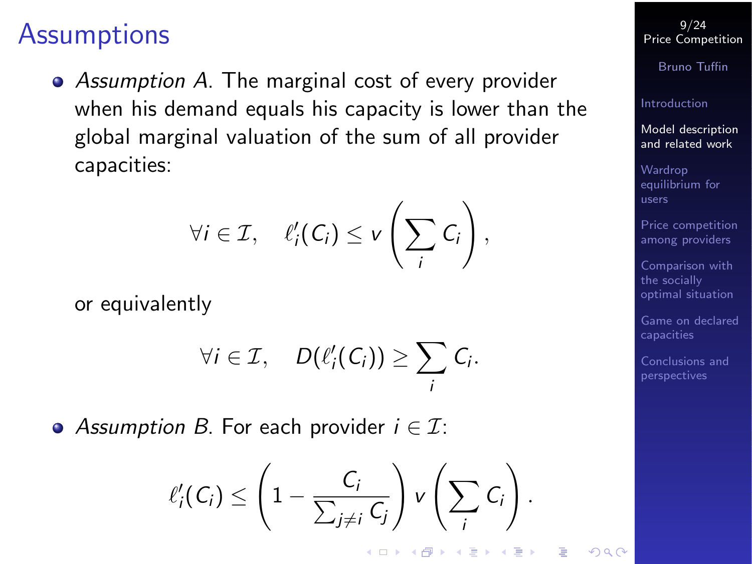### **Assumptions**

• Assumption A. The marginal cost of every provider when his demand equals his capacity is lower than the global marginal valuation of the sum of all provider capacities:

$$
\forall i \in \mathcal{I}, \quad \ell'_i(C_i) \leq v\left(\sum_i C_i\right),
$$

or equivalently

$$
\forall i \in \mathcal{I}, \quad D(\ell'_i(C_i)) \geq \sum_i C_i.
$$

• Assumption B. For each provider  $i \in \mathcal{I}$ :

$$
\ell'_i(C_i) \leq \left(1 - \frac{C_i}{\sum_{j \neq i} C_j}\right) v\left(\sum_i C_i\right).
$$

(ロ) (@) (홍) (홍) (홍)

9/24 [Price Competition](#page-0-0)

Bruno Tuffin

[Introduction](#page-3-0)

[Model description](#page-5-0) and related work

Wardrop [equilibrium for](#page-11-0) users

[Price competition](#page-14-0) among providers

Comparison with the socially [optimal situation](#page-19-0)

[Game on declared](#page-20-0)

[Conclusions and](#page-22-0)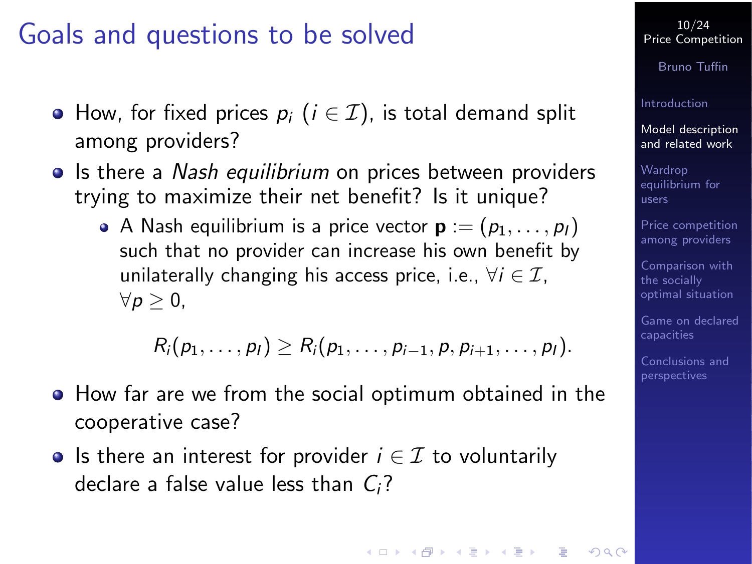### Goals and questions to be solved

- How, for fixed prices  $p_i$  ( $i \in \mathcal{I}$ ), is total demand split among providers?
- Is there a Nash equilibrium on prices between providers trying to maximize their net benefit? Is it unique?
	- A Nash equilibrium is a price vector  $\mathbf{p} := (p_1, \ldots, p_l)$ such that no provider can increase his own benefit by unilaterally changing his access price, i.e.,  $\forall i \in \mathcal{I}$ ,  $\forall p \geq 0,$

$$
R_i(p_1,\ldots,p_l)\geq R_i(p_1,\ldots,p_{i-1},p,p_{i+1},\ldots,p_l).
$$

- How far are we from the social optimum obtained in the cooperative case?
- Is there an interest for provider  $i \in \mathcal{I}$  to voluntarily declare a false value less than  $C_i$ ?

10/24 [Price Competition](#page-0-0)

Bruno Tuffin

[Introduction](#page-3-0)

[Model description](#page-5-0) and related work

Wardrop [equilibrium for](#page-11-0) users

[Price competition](#page-14-0) among providers

Comparison with the socially [optimal situation](#page-19-0)

[Game on declared](#page-20-0)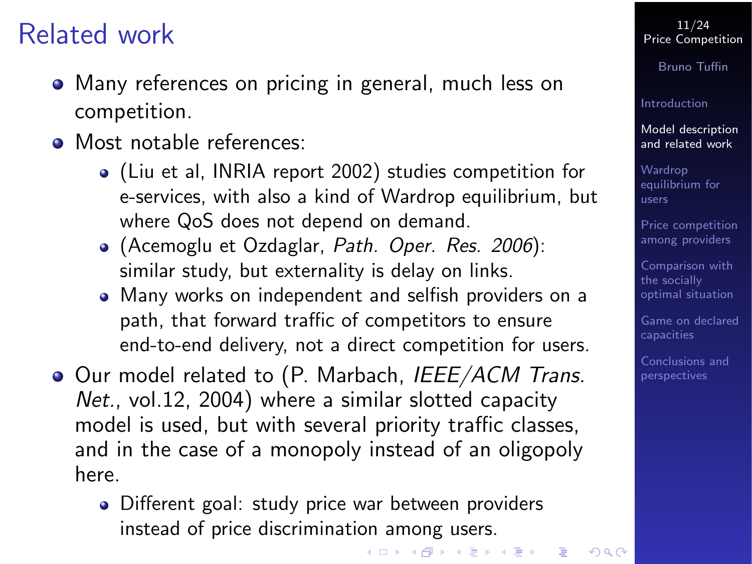## Related work

- Many references on pricing in general, much less on competition.
- Most notable references:
	- (Liu et al, INRIA report 2002) studies competition for e-services, with also a kind of Wardrop equilibrium, but where QoS does not depend on demand.
	- (Acemoglu et Ozdaglar, Path. Oper. Res. 2006): similar study, but externality is delay on links.
	- Many works on independent and selfish providers on a path, that forward traffic of competitors to ensure end-to-end delivery, not a direct competition for users.
- <span id="page-10-0"></span>Our model related to (P. Marbach, IEEE/ACM Trans. Net., vol.12, 2004) where a similar slotted capacity model is used, but with several priority traffic classes, and in the case of a monopoly instead of an oligopoly here.
	- Different goal: study price war between providers instead of price discrimination among users.

-<br>◆ ロ ▶ → 御 ▶ → 重 ▶ → 重 ▶ → 重 → ⊙ Q ⊙

#### 11/24 [Price Competition](#page-0-0)

Bruno Tuffin

#### [Introduction](#page-3-0)

[Model description](#page-5-0) and related work

Wardrop [equilibrium for](#page-11-0) users

[Price competition](#page-14-0) among providers

Comparison with the socially [optimal situation](#page-19-0)

[Game on declared](#page-20-0)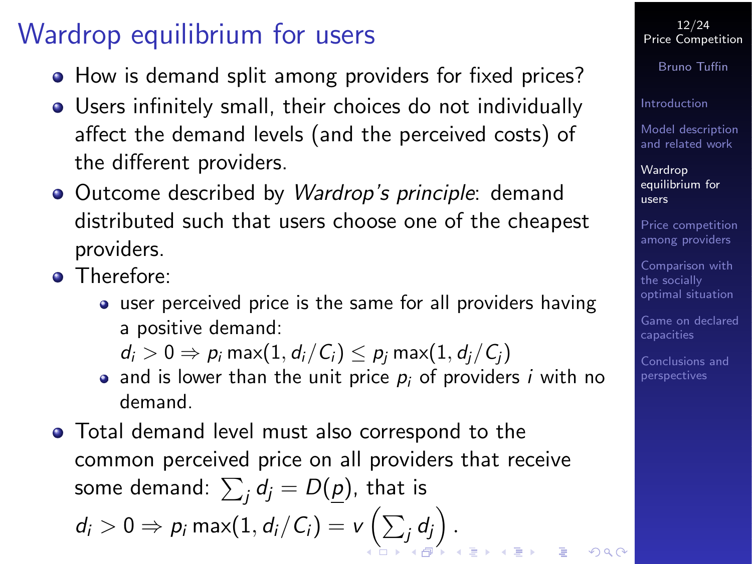# Wardrop equilibrium for users

- How is demand split among providers for fixed prices?
- Users infinitely small, their choices do not individually affect the demand levels (and the perceived costs) of the different providers.
- Outcome described by *Wardrop's principle*: demand distributed such that users choose one of the cheapest providers.
- **O** Therefore:
	- user perceived price is the same for all providers having a positive demand:

 $d_i > 0 \Rightarrow p_i \max(1, d_i/C_i) \leq p_i \max(1, d_i/C_i)$ 

- and is lower than the unit price  $p_i$  of providers i with no demand.
- <span id="page-11-0"></span>Total demand level must also correspond to the common perceived price on all providers that receive some demand:  $\sum_j d_j = D(\underline{p})$ , that is  $\vert d_i > 0 \Rightarrow p_i \, \mathsf{max}(1,d_i/\mathit{C}_i) = \mathsf{v}\left(\sum_j d_j\right).$  $\vert d_i > 0 \Rightarrow p_i \, \mathsf{max}(1,d_i/\mathit{C}_i) = \mathsf{v}\left(\sum_j d_j\right).$  $\vert d_i > 0 \Rightarrow p_i \, \mathsf{max}(1,d_i/\mathit{C}_i) = \mathsf{v}\left(\sum_j d_j\right).$

12/24 [Price Competition](#page-0-0)

Bruno Tuffin

[Introduction](#page-3-0)

[Model description](#page-5-0) and related work

Wardrop [equilibrium for](#page-11-0) users

[Price competition](#page-14-0) among providers

Comparison with the socially [optimal situation](#page-19-0)

[Game on declared](#page-20-0)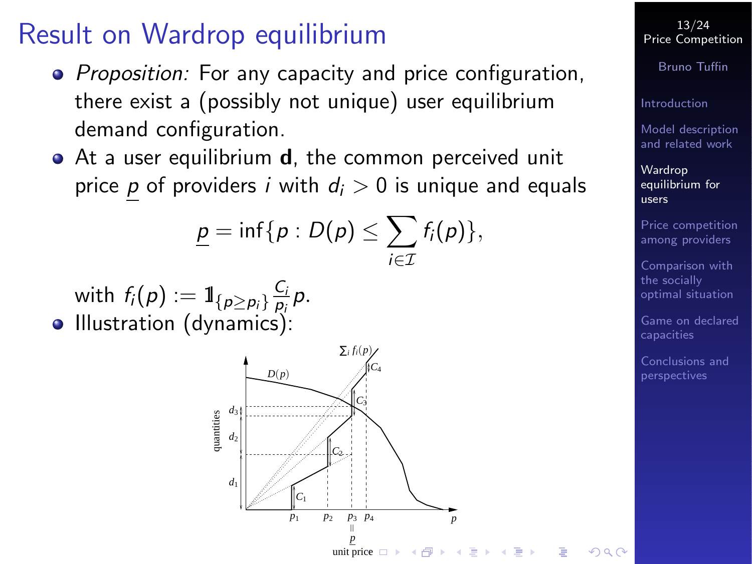## Result on Wardrop equilibrium

- Proposition: For any capacity and price configuration, there exist a (possibly not unique) user equilibrium demand configuration.
- At a user equilibrium **d**, the common perceived unit price p of providers i with  $d_i > 0$  is unique and equals

$$
\underline{p}=\inf\{p:D(p)\leq \sum_{i\in\mathcal{I}}f_i(p)\},\
$$

<span id="page-12-0"></span>with  $f_{i}(\rho):=\mathbb{1}_{\{p\geq p_{i}\}}\frac{C_{i}}{p_{i}}$  $\frac{C_i}{p_i}p.$ • Illustration (dynamics):



13/24 [Price Competition](#page-0-0)

Bruno Tuffin

[Introduction](#page-3-0)

[Model description](#page-5-0) and related work

Wardrop [equilibrium for](#page-11-0) users

[Price competition](#page-14-0) among providers

Comparison with the socially [optimal situation](#page-19-0)

[Game on declared](#page-20-0)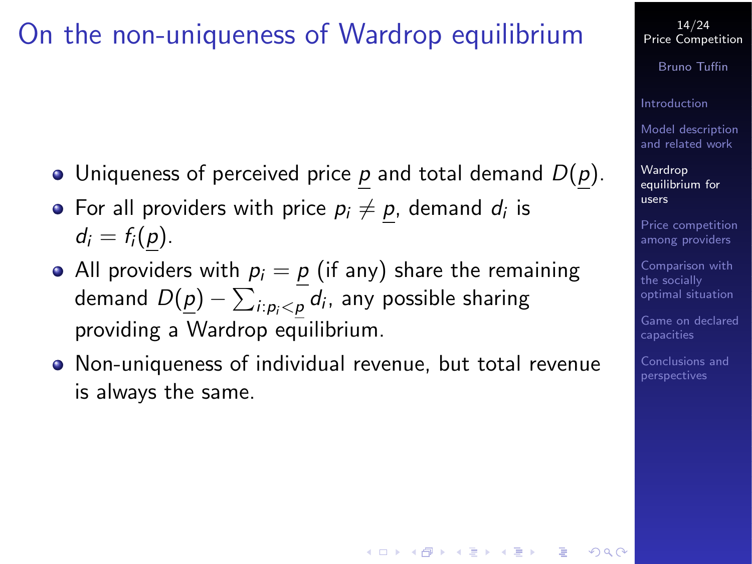### On the non-uniqueness of Wardrop equilibrium

- Uniqueness of perceived price  $p$  and total demand  $D(p)$ .
- For all providers with price  $p_i \neq \underline{p}$ , demand  $d_i$  is  $d_i = f_i(p)$ .
- All providers with  $p_i = p$  (if any) share the remaining demand  $D(\underline{p}) - \sum_{i: p_i < \underline{p}}d_i$ , any possible sharing providing a Wardrop equilibrium.
- Non-uniqueness of individual revenue, but total revenue is always the same.

14/24 [Price Competition](#page-0-0)

Bruno Tuffin

[Introduction](#page-3-0)

[Model description](#page-5-0) and related work

Wardrop [equilibrium for](#page-11-0) users

[Price competition](#page-14-0) among providers

Comparison with the socially [optimal situation](#page-19-0)

[Game on declared](#page-20-0)

[Conclusions and](#page-22-0)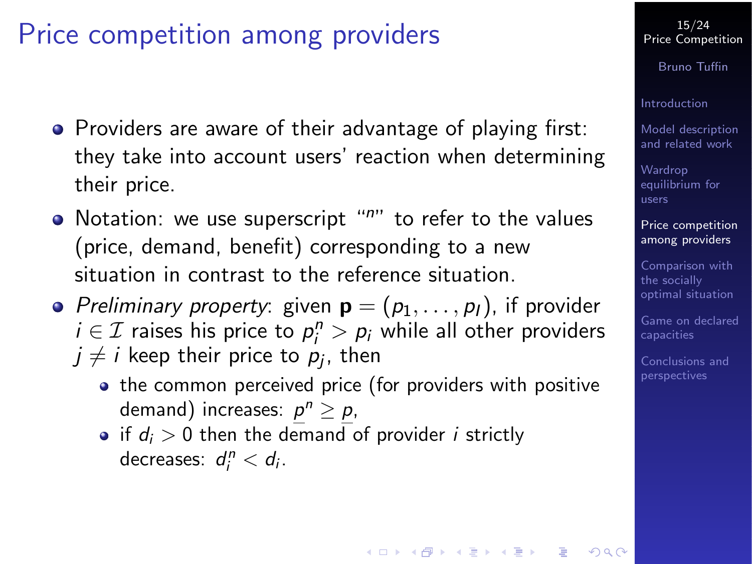# Price competition among providers

- Providers are aware of their advantage of playing first: they take into account users' reaction when determining their price.
- $\bullet$  Notation: we use superscript " $n$ " to refer to the values (price, demand, benefit) corresponding to a new situation in contrast to the reference situation.
- <span id="page-14-0"></span>• Preliminary property: given  $\mathbf{p} = (p_1, \ldots, p_l)$ , if provider  $i \in \mathcal{I}$  raises his price to  $p_i^n > p_i$  while all other providers  $j\neq i$  keep their price to  $p_j$ , then
	- the common perceived price (for providers with positive demand) increases:  $p^n \geq p$ ,
	- if  $d_i > 0$  then the demand of provider *i* strictly decreases:  $d_i^n < d_i$ .

#### 15/24 [Price Competition](#page-0-0)

Bruno Tuffin

[Introduction](#page-3-0)

[Model description](#page-5-0) and related work

Wardrop [equilibrium for](#page-11-0) users

[Price competition](#page-14-0) among providers

Comparison with the socially [optimal situation](#page-19-0)

[Game on declared](#page-20-0)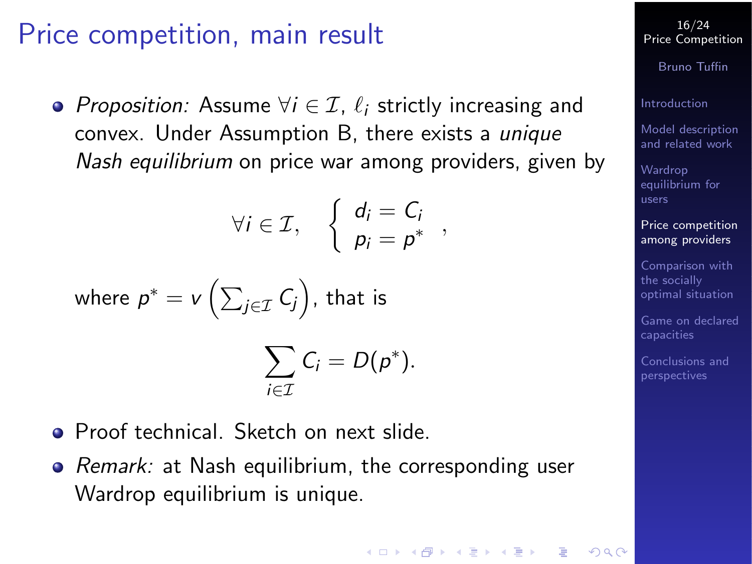### Price competition, main result

• Proposition: Assume  $\forall i \in \mathcal{I}$ ,  $\ell_i$  strictly increasing and convex. Under Assumption B, there exists a unique Nash equilibrium on price war among providers, given by

$$
\forall i \in \mathcal{I}, \quad \left\{ \begin{array}{l} d_i = C_i \\ p_i = p^* \end{array} \right.,
$$

where 
$$
p^* = v\left(\sum_{j \in \mathcal{I}} C_j\right)
$$
, that is

$$
\sum_{i\in\mathcal{I}}C_i=D(p^*).
$$

- **Proof technical. Sketch on next slide.**
- Remark: at Nash equilibrium, the corresponding user Wardrop equilibrium is unique.

Bruno Tuffin

[Introduction](#page-3-0)

[Model description](#page-5-0) and related work

Wardrop [equilibrium for](#page-11-0) users

[Price competition](#page-14-0) among providers

Comparison with the socially [optimal situation](#page-19-0)

[Game on declared](#page-20-0)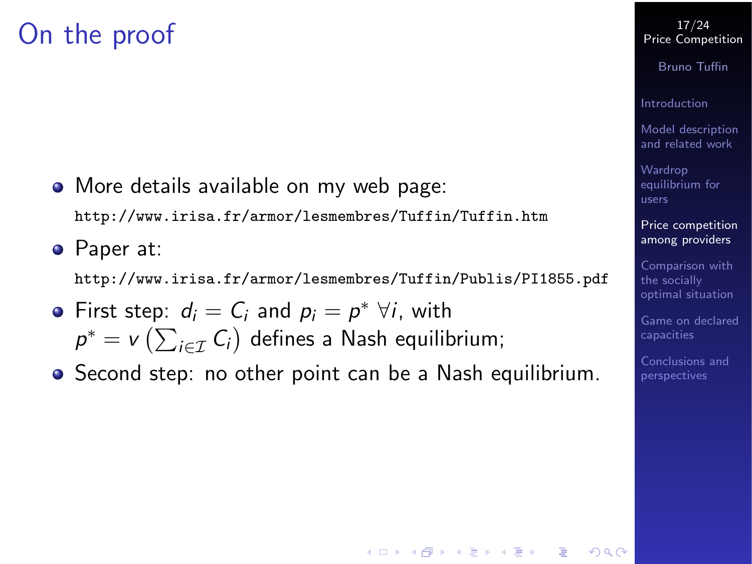## On the proof

• More details available on my web page:

<http://www.irisa.fr/armor/lesmembres/Tuffin/Tuffin.htm>

Paper at:

<http://www.irisa.fr/armor/lesmembres/Tuffin/Publis/PI1855.pdf>

- First step:  $d_i = C_i$  and  $p_i = p^* \ \forall i$ , with  $\rho^* = \nu\left( \sum_{i \in \mathcal{I}} \mathcal{C}_i \right)$  defines a Nash equilibrium;
- Second step: no other point can be a Nash equilibrium.

#### 17/24 [Price Competition](#page-0-0)

Bruno Tuffin

[Introduction](#page-3-0)

[Model description](#page-5-0) and related work

**Wardrop** [equilibrium for](#page-11-0) users

[Price competition](#page-14-0) among providers

Comparison with the socially [optimal situation](#page-19-0)

[Game on declared](#page-20-0)

[Conclusions and](#page-22-0)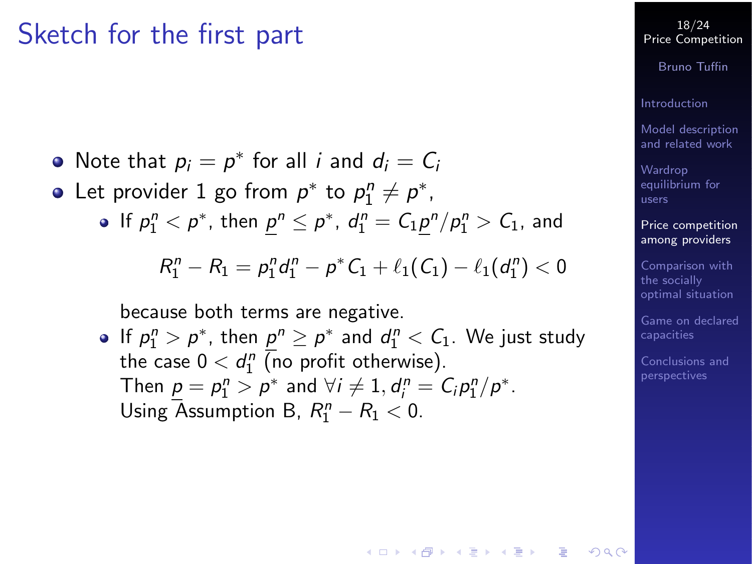### Sketch for the first part

- Note that  $p_i = p^*$  for all *i* and  $d_i = C_i$
- Let provider 1 go from  $p^*$  to  $p_1^n \neq p^*$ ,
	- If  $p_1^n < p^*$ , then  $\underline{p}^n \leq p^*$ ,  $d_1^n = C_1 \underline{p}^n / p_1^n > C_1$ , and

$$
R_1^n - R_1 = p_1^n d_1^n - p^* C_1 + \ell_1(C_1) - \ell_1(d_1^n) < 0
$$

because both terms are negative.

If  $p_1^n > p^*$ , then  $\underline{p}^n \ge p^*$  and  $d_1^n < C_1$ . We just study the case  $0 < d_1^n$  (no profit otherwise). Then  $\underline{p} = p_1^n > \overline{p^*}$  and  $\forall i \neq 1, d_i^n = C_i p_1^n / \overline{p^*}$ . Using Assumption B,  $R_1^n - R_1 < 0$ .

 $A \equiv 1 + 4 \pmod{4} \Rightarrow A \equiv 1 + 4 \pmod{2} \Rightarrow B$ 

#### 18/24 [Price Competition](#page-0-0)

Bruno Tuffin

[Introduction](#page-3-0)

[Model description](#page-5-0) and related work

Wardrop [equilibrium for](#page-11-0) users

[Price competition](#page-14-0) among providers

Comparison with the socially [optimal situation](#page-19-0)

[Game on declared](#page-20-0)

[Conclusions and](#page-22-0)

 $\Omega$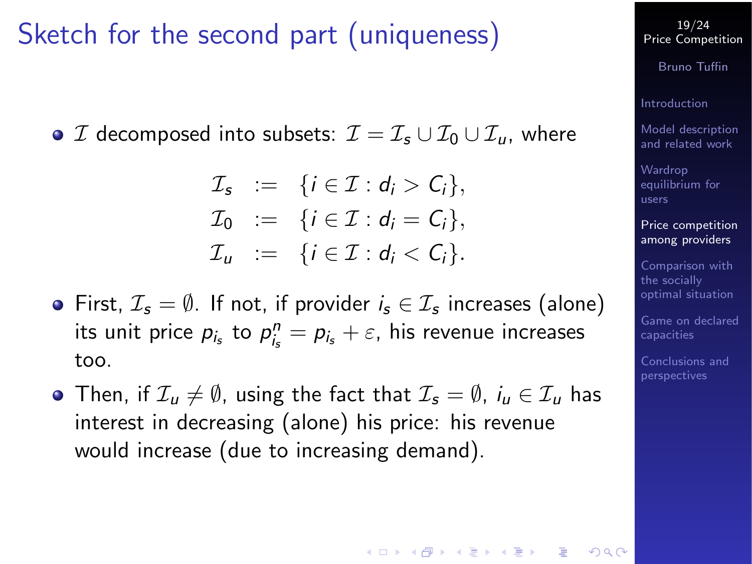## Sketch for the second part (uniqueness)

 $\bullet$  *I* decomposed into subsets:  $\mathcal{I} = \mathcal{I}_s \cup \mathcal{I}_0 \cup \mathcal{I}_u$ , where

 $\mathcal{I}_s$  := { $i \in \mathcal{I} : d_i > C_i$ },  $\mathcal{I}_0 := \{i \in \mathcal{I} : d_i = C_i\},\$  $\mathcal{I}_u := \{i \in \mathcal{I} : d_i < C_i\}.$ 

- First,  $\mathcal{I}_s = \emptyset$ . If not, if provider  $i_s \in \mathcal{I}_s$  increases (alone) its unit price  $p_{i_s}$  to  $p_{i_s}^n = p_{i_s} + \varepsilon$ , his revenue increases too.
- Then, if  $\mathcal{I}_u \neq \emptyset$ , using the fact that  $\mathcal{I}_s = \emptyset$ ,  $i_u \in \mathcal{I}_u$  has interest in decreasing (alone) his price: his revenue would increase (due to increasing demand).

19/24 [Price Competition](#page-0-0)

Bruno Tuffin

[Introduction](#page-3-0)

[Model description](#page-5-0) and related work

Wardrop [equilibrium for](#page-11-0) users

[Price competition](#page-14-0) among providers

Comparison with the socially [optimal situation](#page-19-0)

[Game on declared](#page-20-0)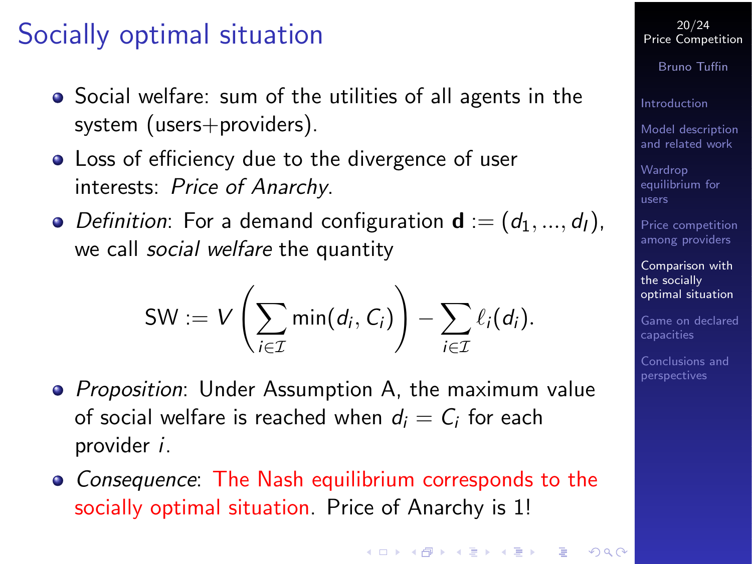# Socially optimal situation

- Social welfare: sum of the utilities of all agents in the system (users+providers).
- Loss of efficiency due to the divergence of user interests: Price of Anarchy.
- Definition: For a demand configuration  $\mathbf{d} := (d_1, ..., d_l)$ , we call *social welfare* the quantity

$$
SW := V\left(\sum_{i \in \mathcal{I}} min(d_i, C_i)\right) - \sum_{i \in \mathcal{I}} \ell_i(d_i).
$$

- Proposition: Under Assumption A, the maximum value of social welfare is reached when  $d_i = C_i$  for each provider i.
- <span id="page-19-0"></span>• Consequence: The Nash equilibrium corresponds to the socially optimal situation. Price of Anarchy is 1!

20/24 [Price Competition](#page-0-0)

Bruno Tuffin

[Introduction](#page-3-0)

[Model description](#page-5-0) and related work

Wardrop [equilibrium for](#page-11-0) users

[Price competition](#page-14-0) among providers

Comparison with the socially [optimal situation](#page-19-0)

[Game on declared](#page-20-0)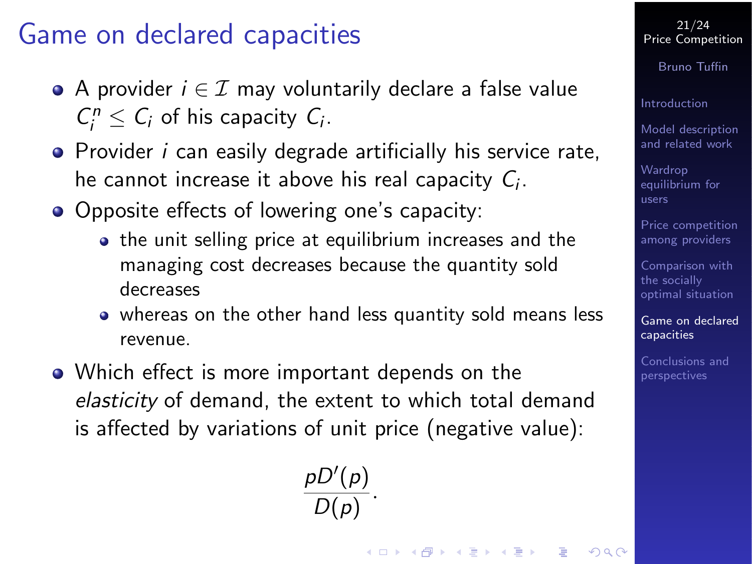## Game on declared capacities

- A provider  $i \in \mathcal{I}$  may voluntarily declare a false value  $C_i^n \leq C_i$  of his capacity  $C_i$ .
- **•** Provider *i* can easily degrade artificially his service rate, he cannot increase it above his real capacity  $C_i$ .
- Opposite effects of lowering one's capacity:
	- the unit selling price at equilibrium increases and the managing cost decreases because the quantity sold decreases
	- whereas on the other hand less quantity sold means less revenue.
- <span id="page-20-0"></span>• Which effect is more important depends on the elasticity of demand, the extent to which total demand is affected by variations of unit price (negative value):

 $pD'(p)$  $\frac{p(p)}{D(p)}$ .

#### 21/24 [Price Competition](#page-0-0)

Bruno Tuffin

[Introduction](#page-3-0)

[Model description](#page-5-0) and related work

Wardrop [equilibrium for](#page-11-0) users

[Price competition](#page-14-0) among providers

Comparison with the socially [optimal situation](#page-19-0)

[Game on declared](#page-20-0) capacities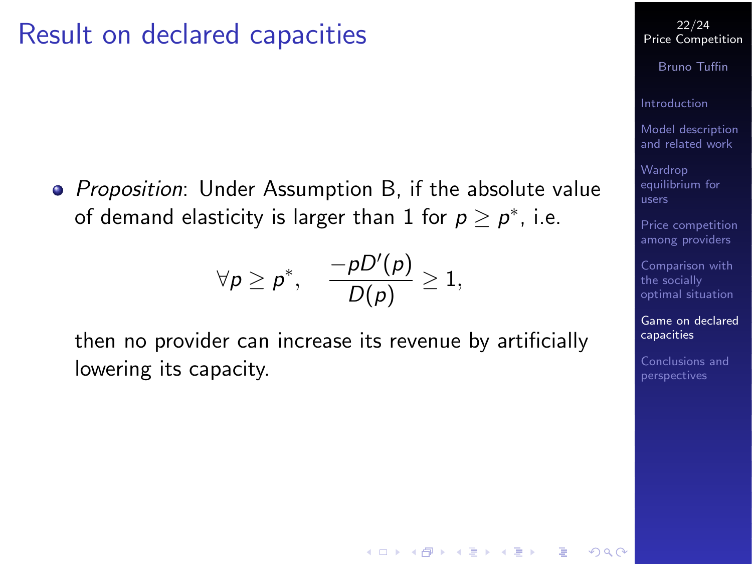### Result on declared capacities

• Proposition: Under Assumption B, if the absolute value of demand elasticity is larger than  $1$  for  $p \geq p^*$ , i.e.

$$
\forall \rho \geq \rho^*, \quad \frac{-\rho D'(\rho)}{D(\rho)} \geq 1,
$$

then no provider can increase its revenue by artificially lowering its capacity.

 $\mathbf{E} = \mathbf{A} \oplus \mathbf{B} + \mathbf{A} \oplus \mathbf{B} + \mathbf{A} \oplus \mathbf{B} + \mathbf{A} \oplus \mathbf{A}$ 

22/24 [Price Competition](#page-0-0)

Bruno Tuffin

[Introduction](#page-3-0)

[Model description](#page-5-0) and related work

Wardrop [equilibrium for](#page-11-0) users

[Price competition](#page-14-0) among providers

Comparison with the socially [optimal situation](#page-19-0)

[Game on declared](#page-20-0) capacities

[Conclusions and](#page-22-0)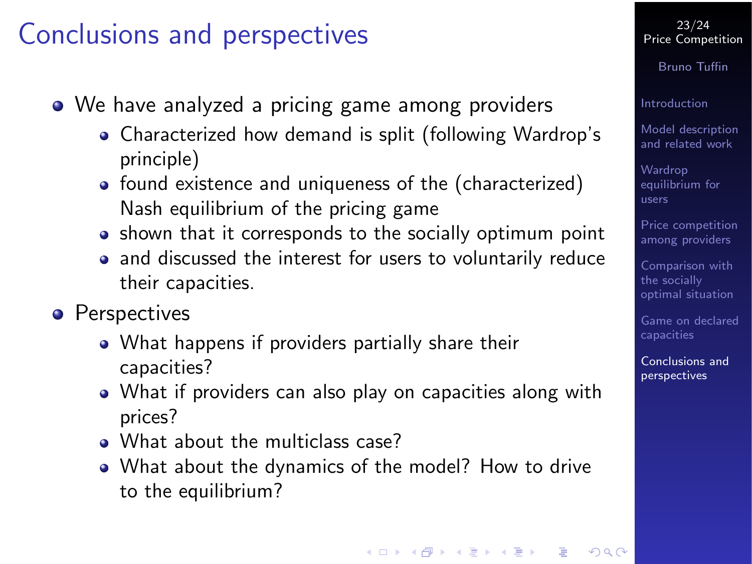## Conclusions and perspectives

- We have analyzed a pricing game among providers
	- Characterized how demand is split (following Wardrop's principle)
	- found existence and uniqueness of the (characterized) Nash equilibrium of the pricing game
	- shown that it corresponds to the socially optimum point
	- and discussed the interest for users to voluntarily reduce their capacities.
- <span id="page-22-0"></span>**•** Perspectives
	- What happens if providers partially share their capacities?
	- What if providers can also play on capacities along with prices?
	- What about the multiclass case?
	- What about the dynamics of the model? How to drive to the equilibrium?

#### 23/24 [Price Competition](#page-0-0)

Bruno Tuffin

[Introduction](#page-3-0)

[Model description](#page-5-0) and related work

Wardrop [equilibrium for](#page-11-0) users

[Price competition](#page-14-0) among providers

Comparison with the socially [optimal situation](#page-19-0)

[Game on declared](#page-20-0)

[Conclusions and](#page-22-0) perspectives